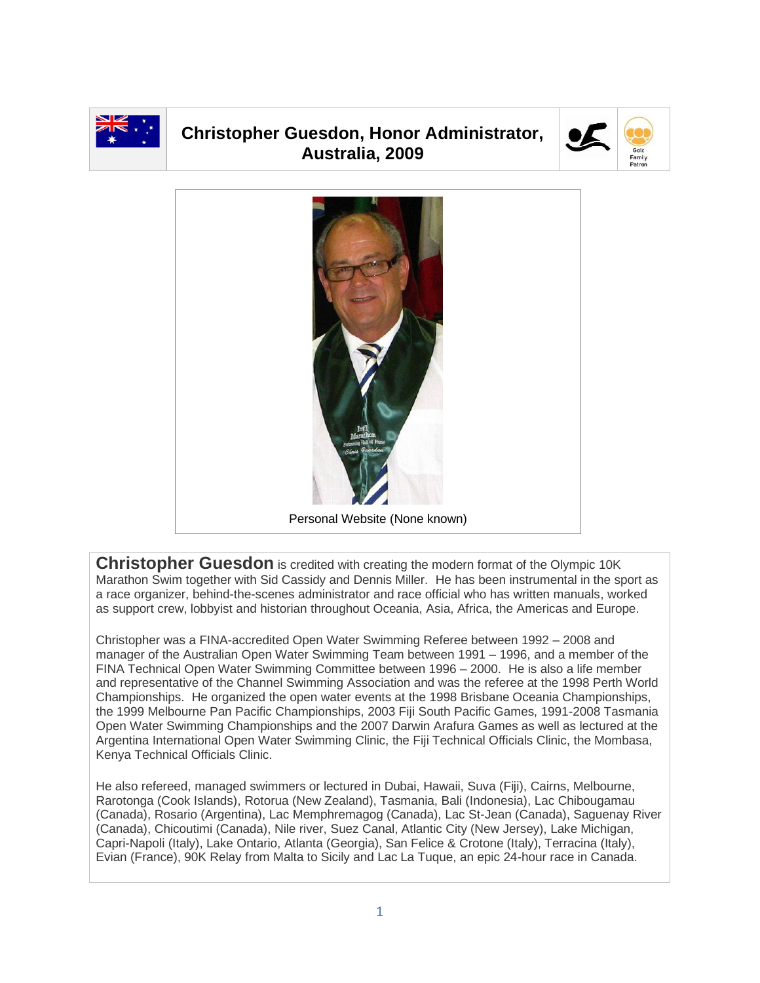

## **Christopher Guesdon, Honor Administrator, Australia, 2009**





**Christopher Guesdon** is credited with creating the modern format of the Olympic 10K Marathon Swim together with Sid Cassidy and Dennis Miller. He has been instrumental in the sport as a race organizer, behind-the-scenes administrator and race official who has written manuals, worked as support crew, lobbyist and historian throughout Oceania, Asia, Africa, the Americas and Europe.

Christopher was a FINA-accredited Open Water Swimming Referee between 1992 – 2008 and manager of the Australian Open Water Swimming Team between 1991 – 1996, and a member of the FINA Technical Open Water Swimming Committee between 1996 – 2000. He is also a life member and representative of the Channel Swimming Association and was the referee at the 1998 Perth World Championships. He organized the open water events at the 1998 Brisbane Oceania Championships, the 1999 Melbourne Pan Pacific Championships, 2003 Fiji South Pacific Games, 1991-2008 Tasmania Open Water Swimming Championships and the 2007 Darwin Arafura Games as well as lectured at the Argentina International Open Water Swimming Clinic, the Fiji Technical Officials Clinic, the Mombasa, Kenya Technical Officials Clinic.

He also refereed, managed swimmers or lectured in Dubai, Hawaii, Suva (Fiji), Cairns, Melbourne, Rarotonga (Cook Islands), Rotorua (New Zealand), Tasmania, Bali (Indonesia), Lac Chibougamau (Canada), Rosario (Argentina), Lac Memphremagog (Canada), Lac St-Jean (Canada), Saguenay River (Canada), Chicoutimi (Canada), Nile river, Suez Canal, Atlantic City (New Jersey), Lake Michigan, Capri-Napoli (Italy), Lake Ontario, Atlanta (Georgia), San Felice & Crotone (Italy), Terracina (Italy), Evian (France), 90K Relay from Malta to Sicily and Lac La Tuque, an epic 24-hour race in Canada.